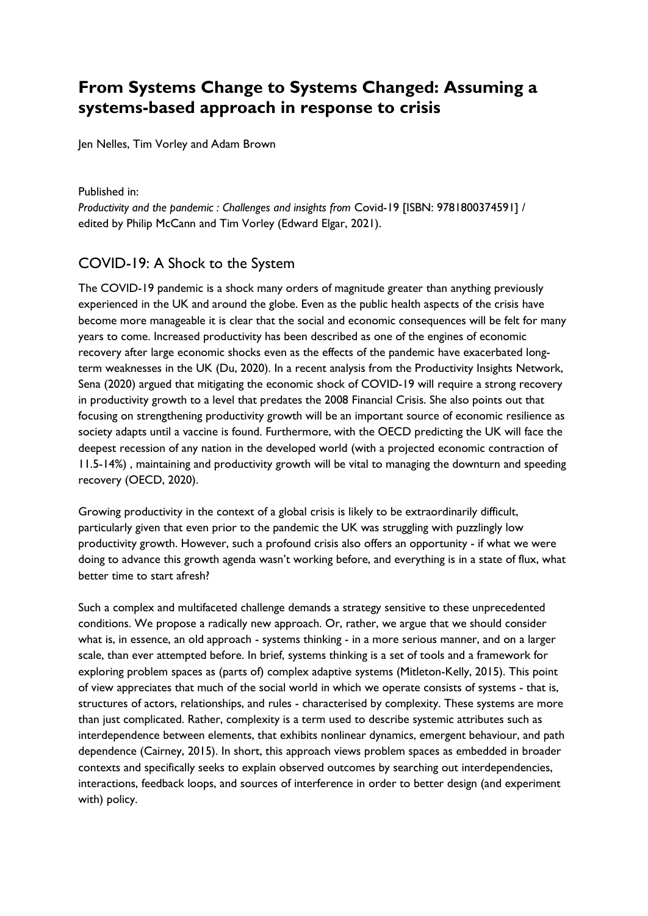# **From Systems Change to Systems Changed: Assuming a systems-based approach in response to crisis**

Jen Nelles, Tim Vorley and Adam Brown

Published in:

*Productivity and the pandemic : Challenges and insights from* Covid-19 [ISBN: 9781800374591] / edited by Philip McCann and Tim Vorley (Edward Elgar, 2021).

## COVID-19: A Shock to the System

The COVID-19 pandemic is a shock many orders of magnitude greater than anything previously experienced in the UK and around the globe. Even as the public health aspects of the crisis have become more manageable it is clear that the social and economic consequences will be felt for many years to come. Increased productivity has been described as one of the engines of economic recovery after large economic shocks even as the effects of the pandemic have exacerbated longterm weaknesses in the UK (Du, 2020). In a recent analysis from the Productivity Insights Network, Sena (2020) argued that mitigating the economic shock of COVID-19 will require a strong recovery in productivity growth to a level that predates the 2008 Financial Crisis. She also points out that focusing on strengthening productivity growth will be an important source of economic resilience as society adapts until a vaccine is found. Furthermore, with the OECD predicting the UK will face the deepest recession of any nation in the developed world (with a projected economic contraction of 11.5-14%) , maintaining and productivity growth will be vital to managing the downturn and speeding recovery (OECD, 2020).

Growing productivity in the context of a global crisis is likely to be extraordinarily difficult, particularly given that even prior to the pandemic the UK was struggling with puzzlingly low productivity growth. However, such a profound crisis also offers an opportunity - if what we were doing to advance this growth agenda wasn't working before, and everything is in a state of flux, what better time to start afresh?

Such a complex and multifaceted challenge demands a strategy sensitive to these unprecedented conditions. We propose a radically new approach. Or, rather, we argue that we should consider what is, in essence, an old approach - systems thinking - in a more serious manner, and on a larger scale, than ever attempted before. In brief, systems thinking is a set of tools and a framework for exploring problem spaces as (parts of) complex adaptive systems (Mitleton-Kelly, 2015). This point of view appreciates that much of the social world in which we operate consists of systems - that is, structures of actors, relationships, and rules - characterised by complexity. These systems are more than just complicated. Rather, complexity is a term used to describe systemic attributes such as interdependence between elements, that exhibits nonlinear dynamics, emergent behaviour, and path dependence (Cairney, 2015). In short, this approach views problem spaces as embedded in broader contexts and specifically seeks to explain observed outcomes by searching out interdependencies, interactions, feedback loops, and sources of interference in order to better design (and experiment with) policy.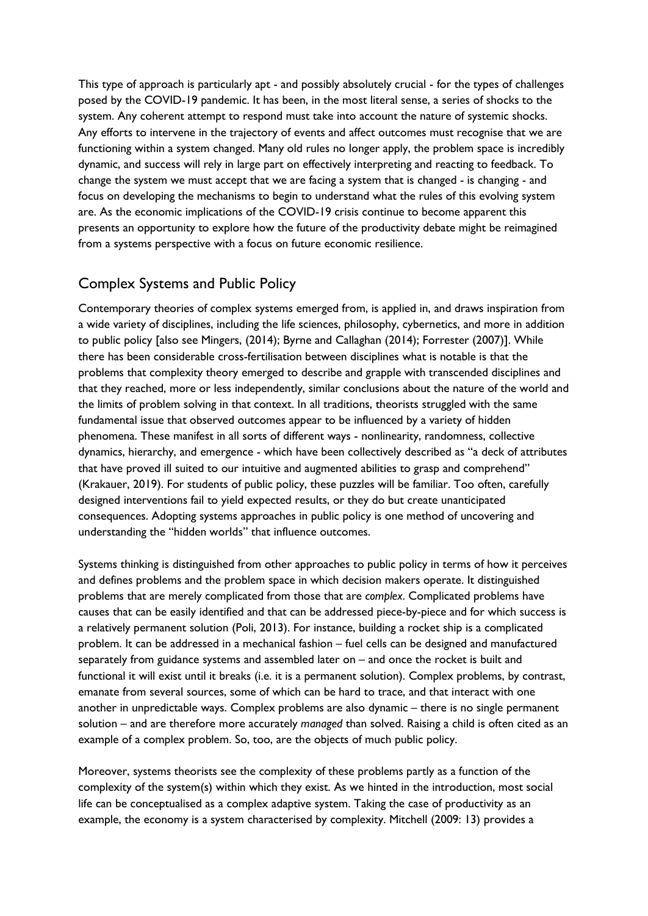This type of approach is particularly apt - and possibly absolutely crucial - for the types of challenges posed by the COVID-19 pandemic. It has been, in the most literal sense, a series of shocks to the system. Any coherent attempt to respond must take into account the nature of systemic shocks. Any efforts to intervene in the trajectory of events and affect outcomes must recognise that we are functioning within a system changed. Many old rules no longer apply, the problem space is incredibly dynamic, and success will rely in large part on effectively interpreting and reacting to feedback. To change the system we must accept that we are facing a system that is changed - is changing - and focus on developing the mechanisms to begin to understand what the rules of this evolving system are. As the economic implications of the COVID-19 crisis continue to become apparent this presents an opportunity to explore how the future of the productivity debate might be reimagined from a systems perspective with a focus on future economic resilience.

### Complex Systems and Public Policy

Contemporary theories of complex systems emerged from, is applied in, and draws inspiration from a wide variety of disciplines, including the life sciences, philosophy, cybernetics, and more in addition to public policy [also see Mingers, (2014); Byrne and Callaghan (2014); Forrester (2007)]. While there has been considerable cross-fertilisation between disciplines what is notable is that the problems that complexity theory emerged to describe and grapple with transcended disciplines and that they reached, more or less independently, similar conclusions about the nature of the world and the limits of problem solving in that context. In all traditions, theorists struggled with the same fundamental issue that observed outcomes appear to be influenced by a variety of hidden phenomena. These manifest in all sorts of different ways - nonlinearity, randomness, collective dynamics, hierarchy, and emergence - which have been collectively described as "a deck of attributes that have proved ill suited to our intuitive and augmented abilities to grasp and comprehend" (Krakauer, 2019). For students of public policy, these puzzles will be familiar. Too often, carefully designed interventions fail to yield expected results, or they do but create unanticipated consequences. Adopting systems approaches in public policy is one method of uncovering and understanding the "hidden worlds" that influence outcomes.

Systems thinking is distinguished from other approaches to public policy in terms of how it perceives and defines problems and the problem space in which decision makers operate. It distinguished problems that are merely complicated from those that are *complex*. Complicated problems have causes that can be easily identified and that can be addressed piece-by-piece and for which success is a relatively permanent solution (Poli, 2013). For instance, building a rocket ship is a complicated problem. It can be addressed in a mechanical fashion – fuel cells can be designed and manufactured separately from guidance systems and assembled later on – and once the rocket is built and functional it will exist until it breaks (i.e. it is a permanent solution). Complex problems, by contrast, emanate from several sources, some of which can be hard to trace, and that interact with one another in unpredictable ways. Complex problems are also dynamic – there is no single permanent solution – and are therefore more accurately *managed* than solved. Raising a child is often cited as an example of a complex problem. So, too, are the objects of much public policy.

Moreover, systems theorists see the complexity of these problems partly as a function of the complexity of the system(s) within which they exist. As we hinted in the introduction, most social life can be conceptualised as a complex adaptive system. Taking the case of productivity as an example, the economy is a system characterised by complexity. Mitchell (2009: 13) provides a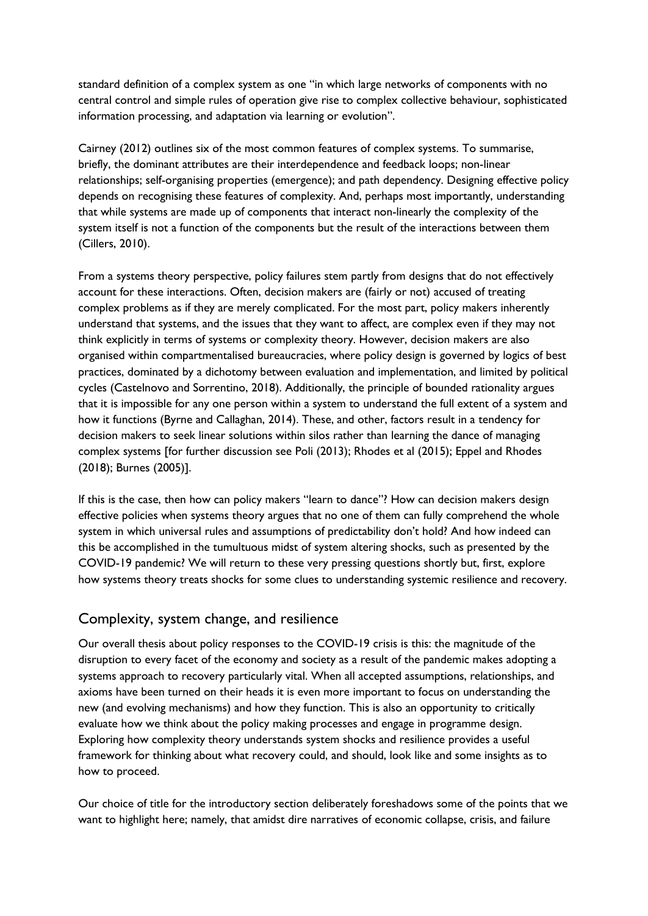standard definition of a complex system as one "in which large networks of components with no central control and simple rules of operation give rise to complex collective behaviour, sophisticated information processing, and adaptation via learning or evolution".

Cairney (2012) outlines six of the most common features of complex systems. To summarise, briefly, the dominant attributes are their interdependence and feedback loops; non-linear relationships; self-organising properties (emergence); and path dependency. Designing effective policy depends on recognising these features of complexity. And, perhaps most importantly, understanding that while systems are made up of components that interact non-linearly the complexity of the system itself is not a function of the components but the result of the interactions between them (Cillers, 2010).

From a systems theory perspective, policy failures stem partly from designs that do not effectively account for these interactions. Often, decision makers are (fairly or not) accused of treating complex problems as if they are merely complicated. For the most part, policy makers inherently understand that systems, and the issues that they want to affect, are complex even if they may not think explicitly in terms of systems or complexity theory. However, decision makers are also organised within compartmentalised bureaucracies, where policy design is governed by logics of best practices, dominated by a dichotomy between evaluation and implementation, and limited by political cycles (Castelnovo and Sorrentino, 2018). Additionally, the principle of bounded rationality argues that it is impossible for any one person within a system to understand the full extent of a system and how it functions (Byrne and Callaghan, 2014). These, and other, factors result in a tendency for decision makers to seek linear solutions within silos rather than learning the dance of managing complex systems [for further discussion see Poli (2013); Rhodes et al (2015); Eppel and Rhodes (2018); Burnes (2005)].

If this is the case, then how can policy makers "learn to dance"? How can decision makers design effective policies when systems theory argues that no one of them can fully comprehend the whole system in which universal rules and assumptions of predictability don't hold? And how indeed can this be accomplished in the tumultuous midst of system altering shocks, such as presented by the COVID-19 pandemic? We will return to these very pressing questions shortly but, first, explore how systems theory treats shocks for some clues to understanding systemic resilience and recovery.

#### Complexity, system change, and resilience

Our overall thesis about policy responses to the COVID-19 crisis is this: the magnitude of the disruption to every facet of the economy and society as a result of the pandemic makes adopting a systems approach to recovery particularly vital. When all accepted assumptions, relationships, and axioms have been turned on their heads it is even more important to focus on understanding the new (and evolving mechanisms) and how they function. This is also an opportunity to critically evaluate how we think about the policy making processes and engage in programme design. Exploring how complexity theory understands system shocks and resilience provides a useful framework for thinking about what recovery could, and should, look like and some insights as to how to proceed.

Our choice of title for the introductory section deliberately foreshadows some of the points that we want to highlight here; namely, that amidst dire narratives of economic collapse, crisis, and failure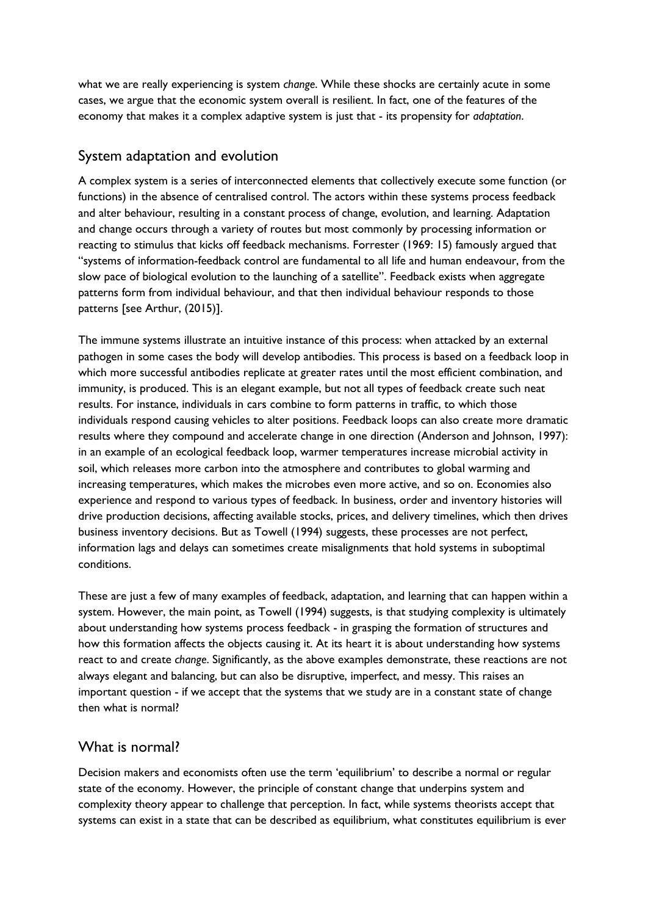what we are really experiencing is system *change*. While these shocks are certainly acute in some cases, we argue that the economic system overall is resilient. In fact, one of the features of the economy that makes it a complex adaptive system is just that - its propensity for *adaptation*.

#### System adaptation and evolution

A complex system is a series of interconnected elements that collectively execute some function (or functions) in the absence of centralised control. The actors within these systems process feedback and alter behaviour, resulting in a constant process of change, evolution, and learning. Adaptation and change occurs through a variety of routes but most commonly by processing information or reacting to stimulus that kicks off feedback mechanisms. Forrester (1969: 15) famously argued that "systems of information-feedback control are fundamental to all life and human endeavour, from the slow pace of biological evolution to the launching of a satellite". Feedback exists when aggregate patterns form from individual behaviour, and that then individual behaviour responds to those patterns [see Arthur, (2015)].

The immune systems illustrate an intuitive instance of this process: when attacked by an external pathogen in some cases the body will develop antibodies. This process is based on a feedback loop in which more successful antibodies replicate at greater rates until the most efficient combination, and immunity, is produced. This is an elegant example, but not all types of feedback create such neat results. For instance, individuals in cars combine to form patterns in traffic, to which those individuals respond causing vehicles to alter positions. Feedback loops can also create more dramatic results where they compound and accelerate change in one direction (Anderson and Johnson, 1997): in an example of an ecological feedback loop, warmer temperatures increase microbial activity in soil, which releases more carbon into the atmosphere and contributes to global warming and increasing temperatures, which makes the microbes even more active, and so on. Economies also experience and respond to various types of feedback. In business, order and inventory histories will drive production decisions, affecting available stocks, prices, and delivery timelines, which then drives business inventory decisions. But as Towell (1994) suggests, these processes are not perfect, information lags and delays can sometimes create misalignments that hold systems in suboptimal conditions.

These are just a few of many examples of feedback, adaptation, and learning that can happen within a system. However, the main point, as Towell (1994) suggests, is that studying complexity is ultimately about understanding how systems process feedback - in grasping the formation of structures and how this formation affects the objects causing it. At its heart it is about understanding how systems react to and create *change*. Significantly, as the above examples demonstrate, these reactions are not always elegant and balancing, but can also be disruptive, imperfect, and messy. This raises an important question - if we accept that the systems that we study are in a constant state of change then what is normal?

#### What is normal?

Decision makers and economists often use the term 'equilibrium' to describe a normal or regular state of the economy. However, the principle of constant change that underpins system and complexity theory appear to challenge that perception. In fact, while systems theorists accept that systems can exist in a state that can be described as equilibrium, what constitutes equilibrium is ever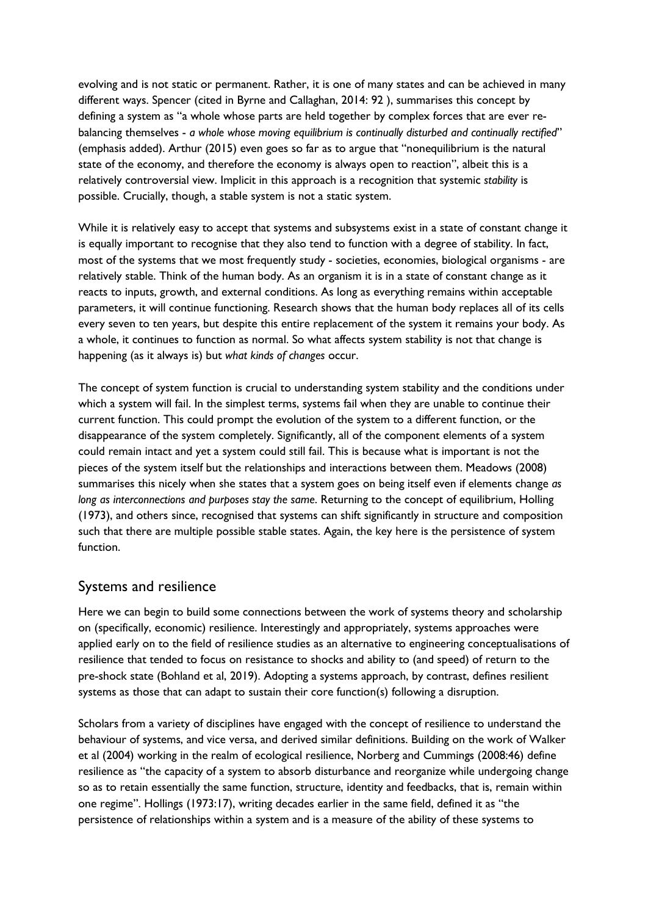evolving and is not static or permanent. Rather, it is one of many states and can be achieved in many different ways. Spencer (cited in Byrne and Callaghan, 2014: 92 ), summarises this concept by defining a system as "a whole whose parts are held together by complex forces that are ever rebalancing themselves - *a whole whose moving equilibrium is continually disturbed and continually rectified*" (emphasis added). Arthur (2015) even goes so far as to argue that "nonequilibrium is the natural state of the economy, and therefore the economy is always open to reaction", albeit this is a relatively controversial view. Implicit in this approach is a recognition that systemic *stability* is possible. Crucially, though, a stable system is not a static system.

While it is relatively easy to accept that systems and subsystems exist in a state of constant change it is equally important to recognise that they also tend to function with a degree of stability. In fact, most of the systems that we most frequently study - societies, economies, biological organisms - are relatively stable. Think of the human body. As an organism it is in a state of constant change as it reacts to inputs, growth, and external conditions. As long as everything remains within acceptable parameters, it will continue functioning. Research shows that the human body replaces all of its cells every seven to ten years, but despite this entire replacement of the system it remains your body. As a whole, it continues to function as normal. So what affects system stability is not that change is happening (as it always is) but *what kinds of changes* occur.

The concept of system function is crucial to understanding system stability and the conditions under which a system will fail. In the simplest terms, systems fail when they are unable to continue their current function. This could prompt the evolution of the system to a different function, or the disappearance of the system completely. Significantly, all of the component elements of a system could remain intact and yet a system could still fail. This is because what is important is not the pieces of the system itself but the relationships and interactions between them. Meadows (2008) summarises this nicely when she states that a system goes on being itself even if elements change *as long as interconnections and purposes stay the same*. Returning to the concept of equilibrium, Holling (1973), and others since, recognised that systems can shift significantly in structure and composition such that there are multiple possible stable states. Again, the key here is the persistence of system function.

#### Systems and resilience

Here we can begin to build some connections between the work of systems theory and scholarship on (specifically, economic) resilience. Interestingly and appropriately, systems approaches were applied early on to the field of resilience studies as an alternative to engineering conceptualisations of resilience that tended to focus on resistance to shocks and ability to (and speed) of return to the pre-shock state (Bohland et al, 2019). Adopting a systems approach, by contrast, defines resilient systems as those that can adapt to sustain their core function(s) following a disruption.

Scholars from a variety of disciplines have engaged with the concept of resilience to understand the behaviour of systems, and vice versa, and derived similar definitions. Building on the work of Walker et al (2004) working in the realm of ecological resilience, Norberg and Cummings (2008:46) define resilience as "the capacity of a system to absorb disturbance and reorganize while undergoing change so as to retain essentially the same function, structure, identity and feedbacks, that is, remain within one regime". Hollings (1973:17), writing decades earlier in the same field, defined it as "the persistence of relationships within a system and is a measure of the ability of these systems to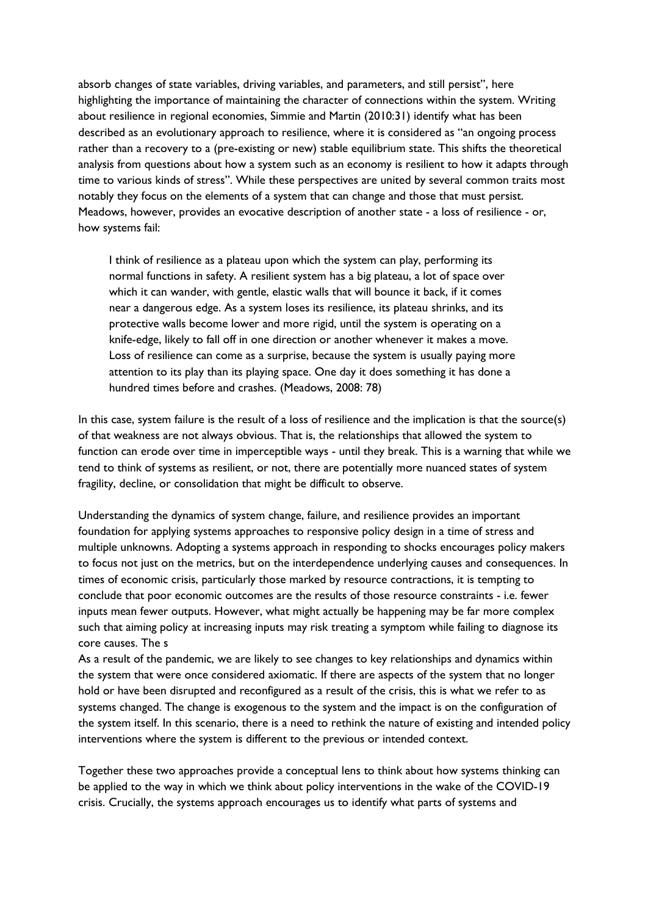absorb changes of state variables, driving variables, and parameters, and still persist'', here highlighting the importance of maintaining the character of connections within the system. Writing about resilience in regional economies, Simmie and Martin (2010:31) identify what has been described as an evolutionary approach to resilience, where it is considered as "an ongoing process rather than a recovery to a (pre-existing or new) stable equilibrium state. This shifts the theoretical analysis from questions about how a system such as an economy is resilient to how it adapts through time to various kinds of stress". While these perspectives are united by several common traits most notably they focus on the elements of a system that can change and those that must persist. Meadows, however, provides an evocative description of another state - a loss of resilience - or, how systems fail:

I think of resilience as a plateau upon which the system can play, performing its normal functions in safety. A resilient system has a big plateau, a lot of space over which it can wander, with gentle, elastic walls that will bounce it back, if it comes near a dangerous edge. As a system loses its resilience, its plateau shrinks, and its protective walls become lower and more rigid, until the system is operating on a knife-edge, likely to fall off in one direction or another whenever it makes a move. Loss of resilience can come as a surprise, because the system is usually paying more attention to its play than its playing space. One day it does something it has done a hundred times before and crashes. (Meadows, 2008: 78)

In this case, system failure is the result of a loss of resilience and the implication is that the source(s) of that weakness are not always obvious. That is, the relationships that allowed the system to function can erode over time in imperceptible ways - until they break. This is a warning that while we tend to think of systems as resilient, or not, there are potentially more nuanced states of system fragility, decline, or consolidation that might be difficult to observe.

Understanding the dynamics of system change, failure, and resilience provides an important foundation for applying systems approaches to responsive policy design in a time of stress and multiple unknowns. Adopting a systems approach in responding to shocks encourages policy makers to focus not just on the metrics, but on the interdependence underlying causes and consequences. In times of economic crisis, particularly those marked by resource contractions, it is tempting to conclude that poor economic outcomes are the results of those resource constraints - i.e. fewer inputs mean fewer outputs. However, what might actually be happening may be far more complex such that aiming policy at increasing inputs may risk treating a symptom while failing to diagnose its core causes. The s

As a result of the pandemic, we are likely to see changes to key relationships and dynamics within the system that were once considered axiomatic. If there are aspects of the system that no longer hold or have been disrupted and reconfigured as a result of the crisis, this is what we refer to as systems changed. The change is exogenous to the system and the impact is on the configuration of the system itself. In this scenario, there is a need to rethink the nature of existing and intended policy interventions where the system is different to the previous or intended context.

Together these two approaches provide a conceptual lens to think about how systems thinking can be applied to the way in which we think about policy interventions in the wake of the COVID-19 crisis. Crucially, the systems approach encourages us to identify what parts of systems and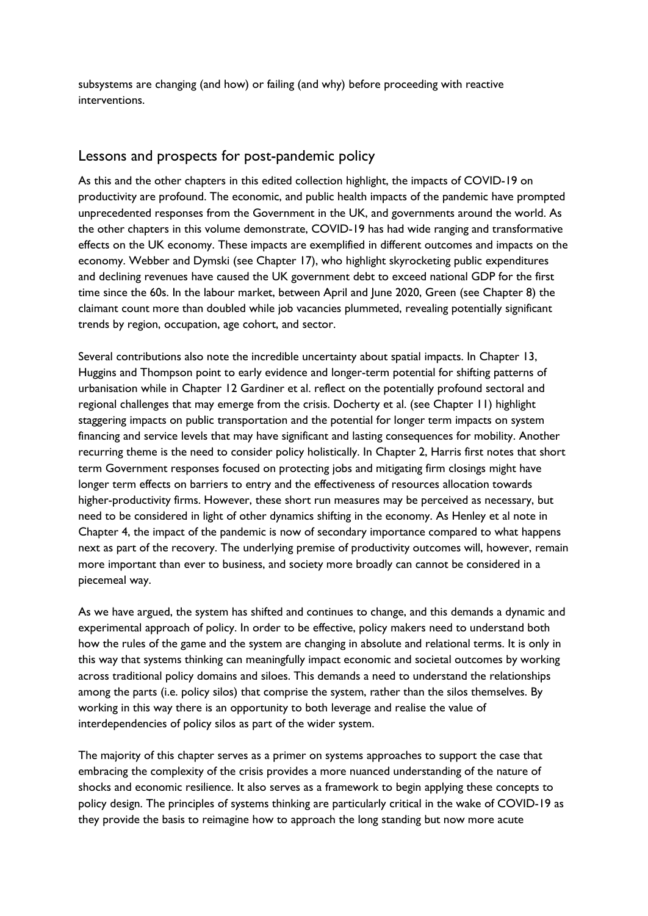subsystems are changing (and how) or failing (and why) before proceeding with reactive interventions.

#### Lessons and prospects for post-pandemic policy

As this and the other chapters in this edited collection highlight, the impacts of COVID-19 on productivity are profound. The economic, and public health impacts of the pandemic have prompted unprecedented responses from the Government in the UK, and governments around the world. As the other chapters in this volume demonstrate, COVID-19 has had wide ranging and transformative effects on the UK economy. These impacts are exemplified in different outcomes and impacts on the economy. Webber and Dymski (see Chapter 17), who highlight skyrocketing public expenditures and declining revenues have caused the UK government debt to exceed national GDP for the first time since the 60s. In the labour market, between April and June 2020, Green (see Chapter 8) the claimant count more than doubled while job vacancies plummeted, revealing potentially significant trends by region, occupation, age cohort, and sector.

Several contributions also note the incredible uncertainty about spatial impacts. In Chapter 13, Huggins and Thompson point to early evidence and longer-term potential for shifting patterns of urbanisation while in Chapter 12 Gardiner et al. reflect on the potentially profound sectoral and regional challenges that may emerge from the crisis. Docherty et al. (see Chapter 11) highlight staggering impacts on public transportation and the potential for longer term impacts on system financing and service levels that may have significant and lasting consequences for mobility. Another recurring theme is the need to consider policy holistically. In Chapter 2, Harris first notes that short term Government responses focused on protecting jobs and mitigating firm closings might have longer term effects on barriers to entry and the effectiveness of resources allocation towards higher-productivity firms. However, these short run measures may be perceived as necessary, but need to be considered in light of other dynamics shifting in the economy. As Henley et al note in Chapter 4, the impact of the pandemic is now of secondary importance compared to what happens next as part of the recovery. The underlying premise of productivity outcomes will, however, remain more important than ever to business, and society more broadly can cannot be considered in a piecemeal way.

As we have argued, the system has shifted and continues to change, and this demands a dynamic and experimental approach of policy. In order to be effective, policy makers need to understand both how the rules of the game and the system are changing in absolute and relational terms. It is only in this way that systems thinking can meaningfully impact economic and societal outcomes by working across traditional policy domains and siloes. This demands a need to understand the relationships among the parts (i.e. policy silos) that comprise the system, rather than the silos themselves. By working in this way there is an opportunity to both leverage and realise the value of interdependencies of policy silos as part of the wider system.

The majority of this chapter serves as a primer on systems approaches to support the case that embracing the complexity of the crisis provides a more nuanced understanding of the nature of shocks and economic resilience. It also serves as a framework to begin applying these concepts to policy design. The principles of systems thinking are particularly critical in the wake of COVID-19 as they provide the basis to reimagine how to approach the long standing but now more acute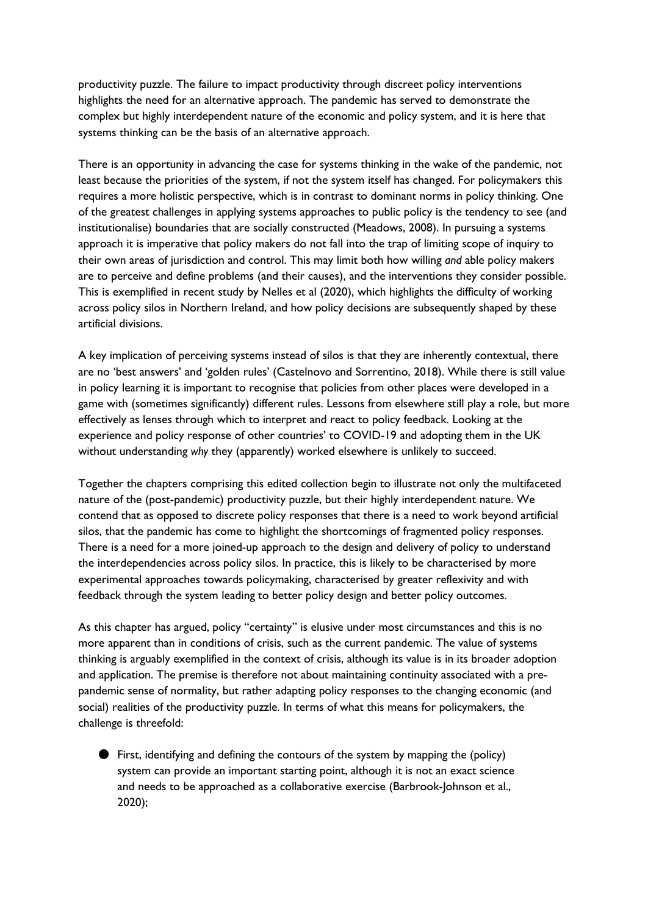productivity puzzle. The failure to impact productivity through discreet policy interventions highlights the need for an alternative approach. The pandemic has served to demonstrate the complex but highly interdependent nature of the economic and policy system, and it is here that systems thinking can be the basis of an alternative approach.

There is an opportunity in advancing the case for systems thinking in the wake of the pandemic, not least because the priorities of the system, if not the system itself has changed. For policymakers this requires a more holistic perspective, which is in contrast to dominant norms in policy thinking. One of the greatest challenges in applying systems approaches to public policy is the tendency to see (and institutionalise) boundaries that are socially constructed (Meadows, 2008). In pursuing a systems approach it is imperative that policy makers do not fall into the trap of limiting scope of inquiry to their own areas of jurisdiction and control. This may limit both how willing *and* able policy makers are to perceive and define problems (and their causes), and the interventions they consider possible. This is exemplified in recent study by Nelles et al (2020), which highlights the difficulty of working across policy silos in Northern Ireland, and how policy decisions are subsequently shaped by these artificial divisions.

A key implication of perceiving systems instead of silos is that they are inherently contextual, there are no 'best answers' and 'golden rules' (Castelnovo and Sorrentino, 2018). While there is still value in policy learning it is important to recognise that policies from other places were developed in a game with (sometimes significantly) different rules. Lessons from elsewhere still play a role, but more effectively as lenses through which to interpret and react to policy feedback. Looking at the experience and policy response of other countries' to COVID-19 and adopting them in the UK without understanding *why* they (apparently) worked elsewhere is unlikely to succeed.

Together the chapters comprising this edited collection begin to illustrate not only the multifaceted nature of the (post-pandemic) productivity puzzle, but their highly interdependent nature. We contend that as opposed to discrete policy responses that there is a need to work beyond artificial silos, that the pandemic has come to highlight the shortcomings of fragmented policy responses. There is a need for a more joined-up approach to the design and delivery of policy to understand the interdependencies across policy silos. In practice, this is likely to be characterised by more experimental approaches towards policymaking, characterised by greater reflexivity and with feedback through the system leading to better policy design and better policy outcomes.

As this chapter has argued, policy "certainty" is elusive under most circumstances and this is no more apparent than in conditions of crisis, such as the current pandemic. The value of systems thinking is arguably exemplified in the context of crisis, although its value is in its broader adoption and application. The premise is therefore not about maintaining continuity associated with a prepandemic sense of normality, but rather adapting policy responses to the changing economic (and social) realities of the productivity puzzle. In terms of what this means for policymakers, the challenge is threefold:

● First, identifying and defining the contours of the system by mapping the (policy) system can provide an important starting point, although it is not an exact science and needs to be approached as a collaborative exercise (Barbrook-Johnson et al., 2020);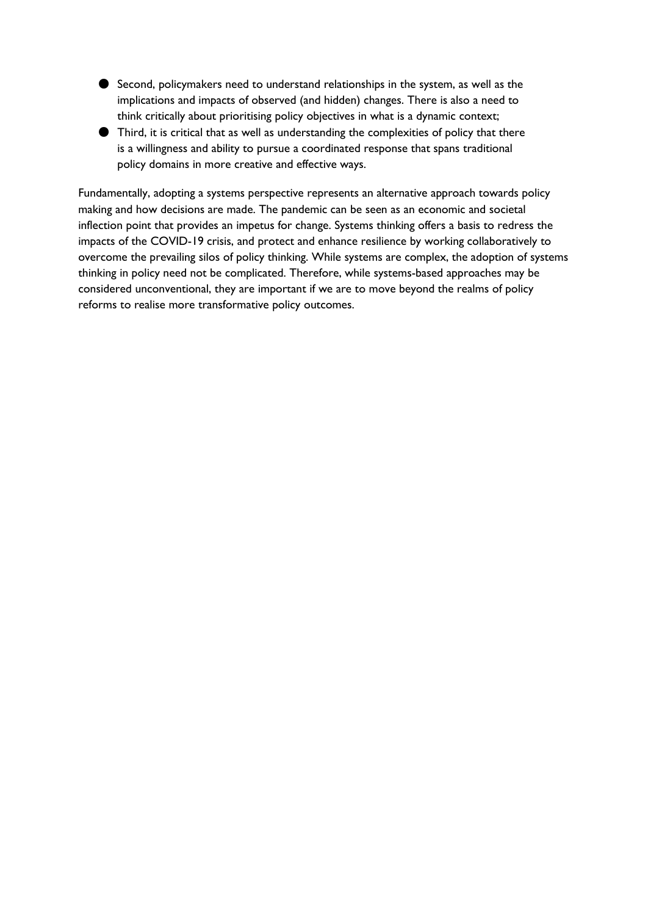- Second, policymakers need to understand relationships in the system, as well as the implications and impacts of observed (and hidden) changes. There is also a need to think critically about prioritising policy objectives in what is a dynamic context;
- Third, it is critical that as well as understanding the complexities of policy that there is a willingness and ability to pursue a coordinated response that spans traditional policy domains in more creative and effective ways.

Fundamentally, adopting a systems perspective represents an alternative approach towards policy making and how decisions are made. The pandemic can be seen as an economic and societal inflection point that provides an impetus for change. Systems thinking offers a basis to redress the impacts of the COVID-19 crisis, and protect and enhance resilience by working collaboratively to overcome the prevailing silos of policy thinking. While systems are complex, the adoption of systems thinking in policy need not be complicated. Therefore, while systems-based approaches may be considered unconventional, they are important if we are to move beyond the realms of policy reforms to realise more transformative policy outcomes.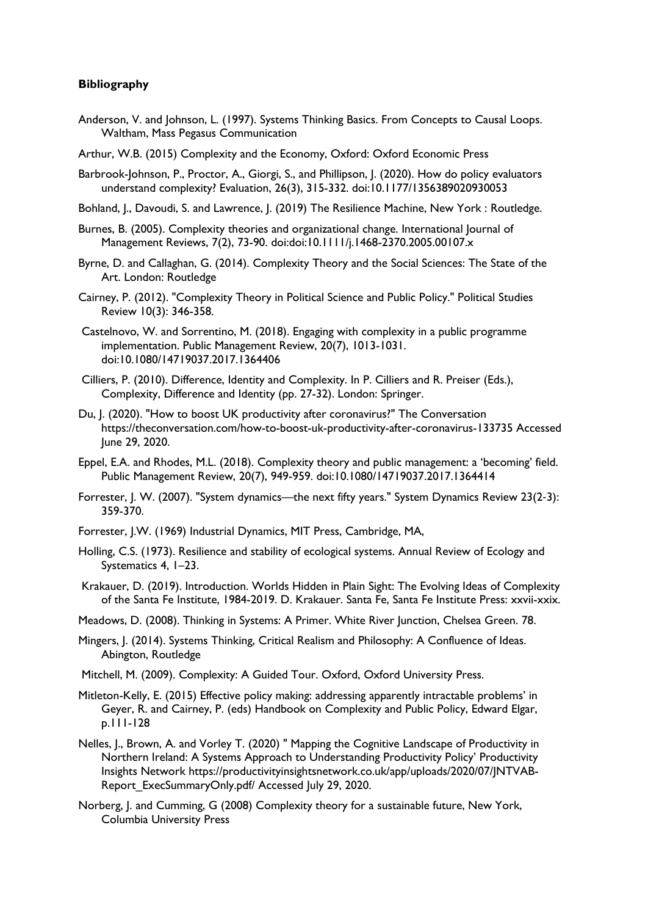#### **Bibliography**

- Anderson, V. and Johnson, L. (1997). Systems Thinking Basics. From Concepts to Causal Loops. Waltham, Mass Pegasus Communication
- Arthur, W.B. (2015) Complexity and the Economy, Oxford: Oxford Economic Press
- Barbrook-Johnson, P., Proctor, A., Giorgi, S., and Phillipson, J. (2020). How do policy evaluators understand complexity? Evaluation, 26(3), 315-332. doi:10.1177/1356389020930053
- Bohland, J., Davoudi, S. and Lawrence, J. (2019) The Resilience Machine, New York : Routledge.
- Burnes, B. (2005). Complexity theories and organizational change. International Journal of Management Reviews, 7(2), 73-90. doi:doi:10.1111/j.1468-2370.2005.00107.x
- Byrne, D. and Callaghan, G. (2014). Complexity Theory and the Social Sciences: The State of the Art. London: Routledge
- Cairney, P. (2012). "Complexity Theory in Political Science and Public Policy." Political Studies Review 10(3): 346-358.
- Castelnovo, W. and Sorrentino, M. (2018). Engaging with complexity in a public programme implementation. Public Management Review, 20(7), 1013-1031. doi:10.1080/14719037.2017.1364406
- Cilliers, P. (2010). Difference, Identity and Complexity. In P. Cilliers and R. Preiser (Eds.), Complexity, Difference and Identity (pp. 27-32). London: Springer.
- Du, J. (2020). "How to boost UK productivity after coronavirus?" The Conversation https://theconversation.com/how-to-boost-uk-productivity-after-coronavirus-133735 Accessed June 29, 2020.
- Eppel, E.A. and Rhodes, M.L. (2018). Complexity theory and public management: a 'becoming' field. Public Management Review, 20(7), 949-959. doi:10.1080/14719037.2017.1364414
- Forrester, J. W. (2007). "System dynamics—the next fifty years." System Dynamics Review 23(2‐3): 359-370.
- Forrester, J.W. (1969) Industrial Dynamics, MIT Press, Cambridge, MA,
- Holling, C.S. (1973). Resilience and stability of ecological systems. Annual Review of Ecology and Systematics 4, 1–23.
- Krakauer, D. (2019). Introduction. Worlds Hidden in Plain Sight: The Evolving Ideas of Complexity of the Santa Fe Institute, 1984-2019. D. Krakauer. Santa Fe, Santa Fe Institute Press: xxvii-xxix.
- Meadows, D. (2008). Thinking in Systems: A Primer. White River Junction, Chelsea Green. 78.
- Mingers, J. (2014). Systems Thinking, Critical Realism and Philosophy: A Confluence of Ideas. Abington, Routledge
- Mitchell, M. (2009). Complexity: A Guided Tour. Oxford, Oxford University Press.
- Mitleton-Kelly, E. (2015) Effective policy making: addressing apparently intractable problems' in Geyer, R. and Cairney, P. (eds) Handbook on Complexity and Public Policy, Edward Elgar, p.111-128
- Nelles, J., Brown, A. and Vorley T. (2020) " Mapping the Cognitive Landscape of Productivity in Northern Ireland: A Systems Approach to Understanding Productivity Policy' Productivity Insights Network https://productivityinsightsnetwork.co.uk/app/uploads/2020/07/JNTVAB-Report\_ExecSummaryOnly.pdf/ Accessed July 29, 2020.
- Norberg, J. and Cumming, G (2008) Complexity theory for a sustainable future, New York, Columbia University Press